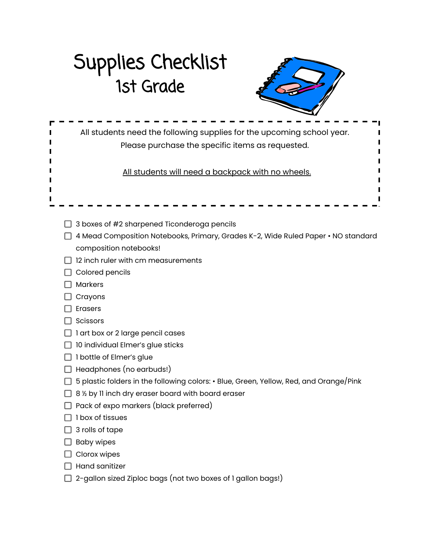## Supplies Checklist 1st Grade



| All students need the following supplies for the upcoming school year.<br>Please purchase the specific items as requested. |
|----------------------------------------------------------------------------------------------------------------------------|
| All students will need a backpack with no wheels.                                                                          |
|                                                                                                                            |
| 3 boxes of #2 sharpened Ticonderoga pencils                                                                                |
| 4 Mead Composition Notebooks, Primary, Grades K-2, Wide Ruled Paper • NO standard                                          |
| composition notebooks!                                                                                                     |
| 12 inch ruler with cm measurements                                                                                         |
| Colored pencils                                                                                                            |
| <b>Markers</b>                                                                                                             |
| Crayons                                                                                                                    |
| <b>Erasers</b>                                                                                                             |
| Scissors                                                                                                                   |
| 1 art box or 2 large pencil cases                                                                                          |
| 10 individual Elmer's glue sticks                                                                                          |
| I bottle of Elmer's glue                                                                                                   |
| Headphones (no earbuds!)                                                                                                   |
| 5 plastic folders in the following colors: • Blue, Green, Yellow, Red, and Orange/Pink                                     |
| 8 1/2 by 11 inch dry eraser board with board eraser                                                                        |
| Pack of expo markers (black preferred)                                                                                     |
| I box of tissues                                                                                                           |
| 3 rolls of tape                                                                                                            |
| <b>Baby wipes</b>                                                                                                          |
| Clorox wipes                                                                                                               |
| Hand sanitizer                                                                                                             |
| 2-gallon sized Ziploc bags (not two boxes of 1 gallon bags!)                                                               |